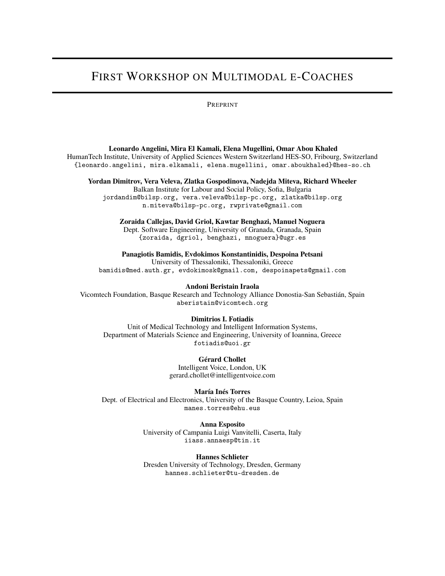# FIRST WORKSHOP ON MULTIMODAL E-COACHES

#### PREPRINT

#### Leonardo Angelini, Mira El Kamali, Elena Mugellini, Omar Abou Khaled

HumanTech Institute, University of Applied Sciences Western Switzerland HES-SO, Fribourg, Switzerland {leonardo.angelini, mira.elkamali, elena.mugellini, omar.aboukhaled}@hes-so.ch

#### Yordan Dimitrov, Vera Veleva, Zlatka Gospodinova, Nadejda Miteva, Richard Wheeler

Balkan Institute for Labour and Social Policy, Sofia, Bulgaria jordandim@bilsp.org, vera.veleva@bilsp-pc.org, zlatka@bilsp.org n.miteva@bilsp-pc.org, rwprivate@gmail.com

#### Zoraida Callejas, David Griol, Kawtar Benghazi, Manuel Noguera

Dept. Software Engineering, University of Granada, Granada, Spain {zoraida, dgriol, benghazi, mnoguera}@ugr.es

Panagiotis Bamidis, Evdokimos Konstantinidis, Despoina Petsani

University of Thessaloniki, Thessaloniki, Greece bamidis@med.auth.gr, evdokimosk@gmail.com, despoinapets@gmail.com

#### Andoni Beristain Iraola

Vicomtech Foundation, Basque Research and Technology Alliance Donostia-San Sebastián, Spain aberistain@vicomtech.org

#### Dimitrios I. Fotiadis

Unit of Medical Technology and Intelligent Information Systems, Department of Materials Science and Engineering, University of Ioannina, Greece fotiadis@uoi.gr

Gérard Chollet

Intelligent Voice, London, UK gerard.chollet@intelligentvoice.com

María Inés Torres

Dept. of Electrical and Electronics, University of the Basque Country, Leioa, Spain manes.torres@ehu.eus

> Anna Esposito University of Campania Luigi Vanvitelli, Caserta, Italy iiass.annaesp@tin.it

#### Hannes Schlieter

Dresden University of Technology, Dresden, Germany hannes.schlieter@tu-dresden.de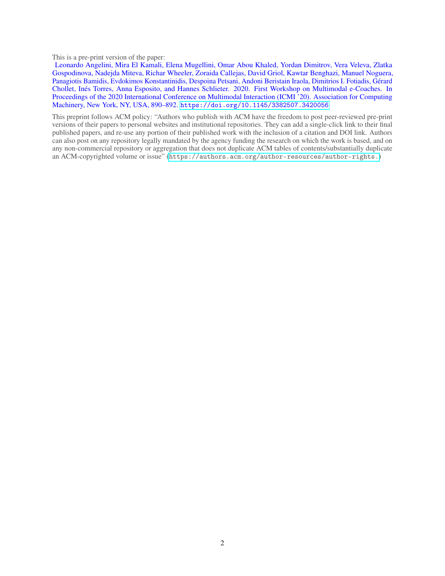This is a pre-print version of the paper:

Leonardo Angelini, Mira El Kamali, Elena Mugellini, Omar Abou Khaled, Yordan Dimitrov, Vera Veleva, Zlatka Gospodinova, Nadejda Miteva, Richar Wheeler, Zoraida Callejas, David Griol, Kawtar Benghazi, Manuel Noguera, Panagiotis Bamidis, Evdokimos Konstantinidis, Despoina Petsani, Andoni Beristain Iraola, Dimitrios I. Fotiadis, Gérard Chollet, Inés Torres, Anna Esposito, and Hannes Schlieter. 2020. First Workshop on Multimodal e-Coaches. In Proceedings of the 2020 International Conference on Multimodal Interaction (ICMI<sup>3</sup>20). Association for Computing Machinery, New York, NY, USA, 890–892. <https://doi.org/10.1145/3382507.3420056>

This preprint follows ACM policy: "Authors who publish with ACM have the freedom to post peer-reviewed pre-print versions of their papers to personal websites and institutional repositories. They can add a single-click link to their final published papers, and re-use any portion of their published work with the inclusion of a citation and DOI link. Authors can also post on any repository legally mandated by the agency funding the research on which the work is based, and on any non-commercial repository or aggregation that does not duplicate ACM tables of contents/substantially duplicate an ACM-copyrighted volume or issue" (<https://authors.acm.org/author-resources/author-rights.>)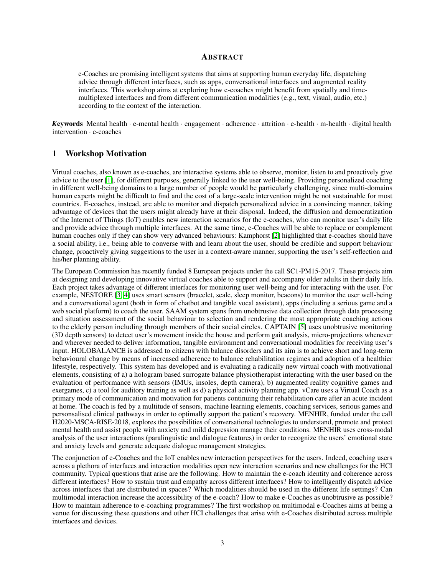#### **ABSTRACT**

e-Coaches are promising intelligent systems that aims at supporting human everyday life, dispatching advice through different interfaces, such as apps, conversational interfaces and augmented reality interfaces. This workshop aims at exploring how e-coaches might benefit from spatially and timemultiplexed interfaces and from different communication modalities (e.g., text, visual, audio, etc.) according to the context of the interaction.

*K*eywords Mental health · e-mental health · engagement · adherence · attrition · e-health · m-health · digital health intervention · e-coaches

#### 1 Workshop Motivation

Virtual coaches, also known as e-coaches, are interactive systems able to observe, monitor, listen to and proactively give advice to the user [\[1\]](#page-4-0), for different purposes, generally linked to the user well-being. Providing personalized coaching in different well-being domains to a large number of people would be particularly challenging, since multi-domains human experts might be difficult to find and the cost of a large-scale intervention might be not sustainable for most countries. E-coaches, instead, are able to monitor and dispatch personalized advice in a convincing manner, taking advantage of devices that the users might already have at their disposal. Indeed, the diffusion and democratization of the Internet of Things (IoT) enables new interaction scenarios for the e-coaches, who can monitor user's daily life and provide advice through multiple interfaces. At the same time, e-Coaches will be able to replace or complement human coaches only if they can show very advanced behaviours: Kamphorst [\[2\]](#page-4-1) highlighted that e-coaches should have a social ability, i.e., being able to converse with and learn about the user, should be credible and support behaviour change, proactively giving suggestions to the user in a context-aware manner, supporting the user's self-reflection and his/her planning ability.

The European Commission has recently funded 8 European projects under the call SC1-PM15-2017. These projects aim at designing and developing innovative virtual coaches able to support and accompany older adults in their daily life. Each project takes advantage of different interfaces for monitoring user well-being and for interacting with the user. For example, NESTORE [\[3,](#page-4-2) [4\]](#page-4-3) uses smart sensors (bracelet, scale, sleep monitor, beacons) to monitor the user well-being and a conversational agent (both in form of chatbot and tangible vocal assistant), apps (including a serious game and a web social platform) to coach the user. SAAM system spans from unobtrusive data collection through data processing and situation assessment of the social behaviour to selection and rendering the most appropriate coaching actions to the elderly person including through members of their social circles. CAPTAIN [\[5\]](#page-4-4) uses unobtrusive monitoring (3D depth sensors) to detect user's movement inside the house and perform gait analysis, micro-projections whenever and wherever needed to deliver information, tangible environment and conversational modalities for receiving user's input. HOLOBALANCE is addressed to citizens with balance disorders and its aim is to achieve short and long-term behavioural change by means of increased adherence to balance rehabilitation regimes and adoption of a healthier lifestyle, respectively. This system has developed and is evaluating a radically new virtual coach with motivational elements, consisting of a) a hologram based surrogate balance physiotherapist interacting with the user based on the evaluation of performance with sensors (IMUs, insoles, depth camera), b) augmented reality cognitive games and exergames, c) a tool for auditory training as well as d) a physical activity planning app. vCare uses a Virtual Coach as a primary mode of communication and motivation for patients continuing their rehabilitation care after an acute incident at home. The coach is fed by a multitude of sensors, machine learning elements, coaching services, serious games and personsalised clinical pathways in order to optimally support the patient's recovery. MENHIR, funded under the call H2020-MSCA-RISE-2018, explores the possibilities of conversational technologies to understand, promote and protect mental health and assist people with anxiety and mild depression manage their conditions. MENHIR uses cross-modal analysis of the user interactions (paralinguistic and dialogue features) in order to recognize the users' emotional state and anxiety levels and generate adequate dialogue management strategies.

The conjunction of e-Coaches and the IoT enables new interaction perspectives for the users. Indeed, coaching users across a plethora of interfaces and interaction modalities open new interaction scenarios and new challenges for the HCI community. Typical questions that arise are the following. How to maintain the e-coach identity and coherence across different interfaces? How to sustain trust and empathy across different interfaces? How to intelligently dispatch advice across interfaces that are distributed in spaces? Which modalities should be used in the different life settings? Can multimodal interaction increase the accessibility of the e-coach? How to make e-Coaches as unobtrusive as possible? How to maintain adherence to e-coaching programmes? The first workshop on multimodal e-Coaches aims at being a venue for discussing these questions and other HCI challenges that arise with e-Coaches distributed across multiple interfaces and devices.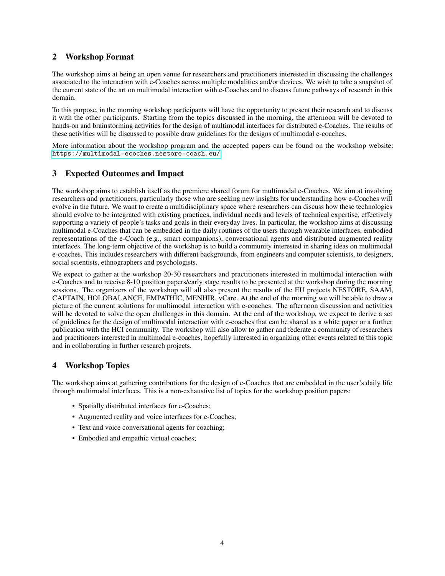## 2 Workshop Format

The workshop aims at being an open venue for researchers and practitioners interested in discussing the challenges associated to the interaction with e-Coaches across multiple modalities and/or devices. We wish to take a snapshot of the current state of the art on multimodal interaction with e-Coaches and to discuss future pathways of research in this domain.

To this purpose, in the morning workshop participants will have the opportunity to present their research and to discuss it with the other participants. Starting from the topics discussed in the morning, the afternoon will be devoted to hands-on and brainstorming activities for the design of multimodal interfaces for distributed e-Coaches. The results of these activities will be discussed to possible draw guidelines for the designs of multimodal e-coaches.

More information about the workshop program and the accepted papers can be found on the workshop website: <https://multimodal-ecoches.nestore-coach.eu/>

## 3 Expected Outcomes and Impact

The workshop aims to establish itself as the premiere shared forum for multimodal e-Coaches. We aim at involving researchers and practitioners, particularly those who are seeking new insights for understanding how e-Coaches will evolve in the future. We want to create a multidisciplinary space where researchers can discuss how these technologies should evolve to be integrated with existing practices, individual needs and levels of technical expertise, effectively supporting a variety of people's tasks and goals in their everyday lives. In particular, the workshop aims at discussing multimodal e-Coaches that can be embedded in the daily routines of the users through wearable interfaces, embodied representations of the e-Coach (e.g., smart companions), conversational agents and distributed augmented reality interfaces. The long-term objective of the workshop is to build a community interested in sharing ideas on multimodal e-coaches. This includes researchers with different backgrounds, from engineers and computer scientists, to designers, social scientists, ethnographers and psychologists.

We expect to gather at the workshop 20-30 researchers and practitioners interested in multimodal interaction with e-Coaches and to receive 8-10 position papers/early stage results to be presented at the workshop during the morning sessions. The organizers of the workshop will all also present the results of the EU projects NESTORE, SAAM, CAPTAIN, HOLOBALANCE, EMPATHIC, MENHIR, vCare. At the end of the morning we will be able to draw a picture of the current solutions for multimodal interaction with e-coaches. The afternoon discussion and activities will be devoted to solve the open challenges in this domain. At the end of the workshop, we expect to derive a set of guidelines for the design of multimodal interaction with e-coaches that can be shared as a white paper or a further publication with the HCI community. The workshop will also allow to gather and federate a community of researchers and practitioners interested in multimodal e-coaches, hopefully interested in organizing other events related to this topic and in collaborating in further research projects.

# 4 Workshop Topics

The workshop aims at gathering contributions for the design of e-Coaches that are embedded in the user's daily life through multimodal interfaces. This is a non-exhaustive list of topics for the workshop position papers:

- Spatially distributed interfaces for e-Coaches;
- Augmented reality and voice interfaces for e-Coaches;
- Text and voice conversational agents for coaching;
- Embodied and empathic virtual coaches;